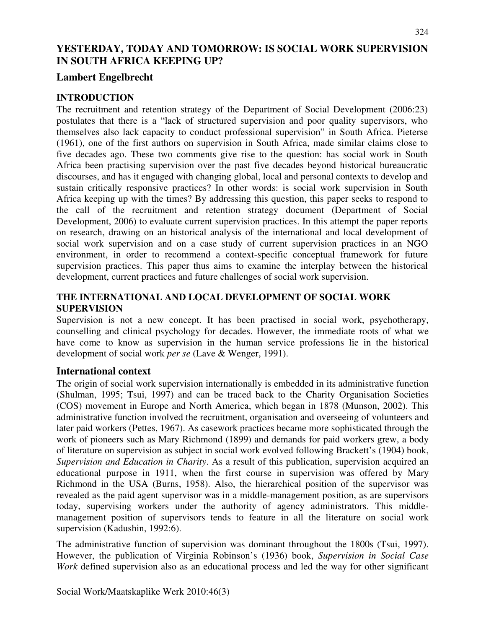# **YESTERDAY, TODAY AND TOMORROW: IS SOCIAL WORK SUPERVISION IN SOUTH AFRICA KEEPING UP?**

# **Lambert Engelbrecht**

### **INTRODUCTION**

The recruitment and retention strategy of the Department of Social Development (2006:23) postulates that there is a "lack of structured supervision and poor quality supervisors, who themselves also lack capacity to conduct professional supervision" in South Africa. Pieterse (1961), one of the first authors on supervision in South Africa, made similar claims close to five decades ago. These two comments give rise to the question: has social work in South Africa been practising supervision over the past five decades beyond historical bureaucratic discourses, and has it engaged with changing global, local and personal contexts to develop and sustain critically responsive practices? In other words: is social work supervision in South Africa keeping up with the times? By addressing this question, this paper seeks to respond to the call of the recruitment and retention strategy document (Department of Social Development, 2006) to evaluate current supervision practices. In this attempt the paper reports on research, drawing on an historical analysis of the international and local development of social work supervision and on a case study of current supervision practices in an NGO environment, in order to recommend a context-specific conceptual framework for future supervision practices. This paper thus aims to examine the interplay between the historical development, current practices and future challenges of social work supervision.

### **THE INTERNATIONAL AND LOCAL DEVELOPMENT OF SOCIAL WORK SUPERVISION**

Supervision is not a new concept. It has been practised in social work, psychotherapy, counselling and clinical psychology for decades. However, the immediate roots of what we have come to know as supervision in the human service professions lie in the historical development of social work *per se* (Lave & Wenger, 1991).

### **International context**

The origin of social work supervision internationally is embedded in its administrative function (Shulman, 1995; Tsui, 1997) and can be traced back to the Charity Organisation Societies (COS) movement in Europe and North America, which began in 1878 (Munson, 2002). This administrative function involved the recruitment, organisation and overseeing of volunteers and later paid workers (Pettes, 1967). As casework practices became more sophisticated through the work of pioneers such as Mary Richmond (1899) and demands for paid workers grew, a body of literature on supervision as subject in social work evolved following Brackett's (1904) book, *Supervision and Education in Charity*. As a result of this publication, supervision acquired an educational purpose in 1911, when the first course in supervision was offered by Mary Richmond in the USA (Burns, 1958). Also, the hierarchical position of the supervisor was revealed as the paid agent supervisor was in a middle-management position, as are supervisors today, supervising workers under the authority of agency administrators. This middlemanagement position of supervisors tends to feature in all the literature on social work supervision (Kadushin, 1992:6).

The administrative function of supervision was dominant throughout the 1800s (Tsui, 1997). However, the publication of Virginia Robinson's (1936) book, *Supervision in Social Case Work* defined supervision also as an educational process and led the way for other significant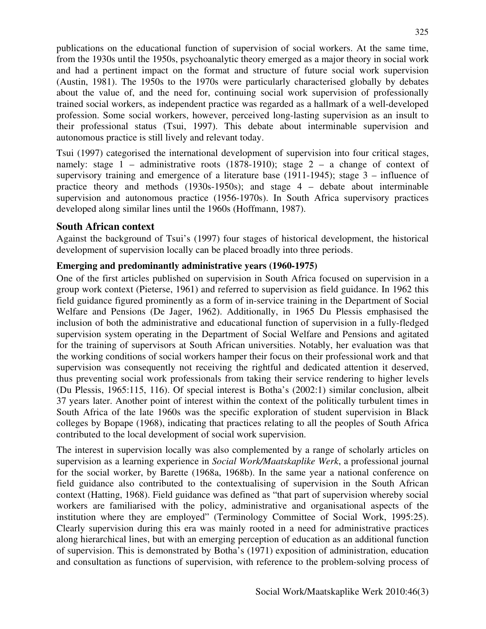publications on the educational function of supervision of social workers. At the same time, from the 1930s until the 1950s, psychoanalytic theory emerged as a major theory in social work and had a pertinent impact on the format and structure of future social work supervision (Austin, 1981). The 1950s to the 1970s were particularly characterised globally by debates about the value of, and the need for, continuing social work supervision of professionally trained social workers, as independent practice was regarded as a hallmark of a well-developed profession. Some social workers, however, perceived long-lasting supervision as an insult to their professional status (Tsui, 1997). This debate about interminable supervision and autonomous practice is still lively and relevant today.

Tsui (1997) categorised the international development of supervision into four critical stages, namely: stage 1 – administrative roots (1878-1910); stage 2 – a change of context of supervisory training and emergence of a literature base (1911-1945); stage 3 – influence of practice theory and methods (1930s-1950s); and stage 4 – debate about interminable supervision and autonomous practice (1956-1970s). In South Africa supervisory practices developed along similar lines until the 1960s (Hoffmann, 1987).

### **South African context**

Against the background of Tsui's (1997) four stages of historical development, the historical development of supervision locally can be placed broadly into three periods.

### **Emerging and predominantly administrative years (1960-1975)**

One of the first articles published on supervision in South Africa focused on supervision in a group work context (Pieterse, 1961) and referred to supervision as field guidance. In 1962 this field guidance figured prominently as a form of in-service training in the Department of Social Welfare and Pensions (De Jager, 1962). Additionally, in 1965 Du Plessis emphasised the inclusion of both the administrative and educational function of supervision in a fully-fledged supervision system operating in the Department of Social Welfare and Pensions and agitated for the training of supervisors at South African universities. Notably, her evaluation was that the working conditions of social workers hamper their focus on their professional work and that supervision was consequently not receiving the rightful and dedicated attention it deserved, thus preventing social work professionals from taking their service rendering to higher levels (Du Plessis, 1965:115, 116). Of special interest is Botha's (2002:1) similar conclusion, albeit 37 years later. Another point of interest within the context of the politically turbulent times in South Africa of the late 1960s was the specific exploration of student supervision in Black colleges by Bopape (1968), indicating that practices relating to all the peoples of South Africa contributed to the local development of social work supervision.

The interest in supervision locally was also complemented by a range of scholarly articles on supervision as a learning experience in *Social Work/Maatskaplike Werk*, a professional journal for the social worker, by Barette (1968a, 1968b). In the same year a national conference on field guidance also contributed to the contextualising of supervision in the South African context (Hatting, 1968). Field guidance was defined as "that part of supervision whereby social workers are familiarised with the policy, administrative and organisational aspects of the institution where they are employed" (Terminology Committee of Social Work, 1995:25). Clearly supervision during this era was mainly rooted in a need for administrative practices along hierarchical lines, but with an emerging perception of education as an additional function of supervision. This is demonstrated by Botha's (1971) exposition of administration, education and consultation as functions of supervision, with reference to the problem-solving process of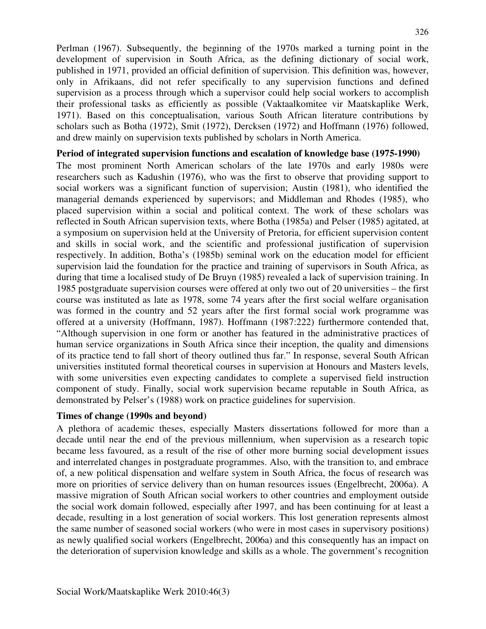Perlman (1967). Subsequently, the beginning of the 1970s marked a turning point in the development of supervision in South Africa, as the defining dictionary of social work, published in 1971, provided an official definition of supervision. This definition was, however, only in Afrikaans, did not refer specifically to any supervision functions and defined supervision as a process through which a supervisor could help social workers to accomplish their professional tasks as efficiently as possible (Vaktaalkomitee vir Maatskaplike Werk, 1971). Based on this conceptualisation, various South African literature contributions by scholars such as Botha (1972), Smit (1972), Dercksen (1972) and Hoffmann (1976) followed, and drew mainly on supervision texts published by scholars in North America.

#### **Period of integrated supervision functions and escalation of knowledge base (1975-1990)**

The most prominent North American scholars of the late 1970s and early 1980s were researchers such as Kadushin (1976), who was the first to observe that providing support to social workers was a significant function of supervision; Austin (1981), who identified the managerial demands experienced by supervisors; and Middleman and Rhodes (1985), who placed supervision within a social and political context. The work of these scholars was reflected in South African supervision texts, where Botha (1985a) and Pelser (1985) agitated, at a symposium on supervision held at the University of Pretoria, for efficient supervision content and skills in social work, and the scientific and professional justification of supervision respectively. In addition, Botha's (1985b) seminal work on the education model for efficient supervision laid the foundation for the practice and training of supervisors in South Africa, as during that time a localised study of De Bruyn (1985) revealed a lack of supervision training. In 1985 postgraduate supervision courses were offered at only two out of 20 universities – the first course was instituted as late as 1978, some 74 years after the first social welfare organisation was formed in the country and 52 years after the first formal social work programme was offered at a university (Hoffmann, 1987). Hoffmann (1987:222) furthermore contended that, "Although supervision in one form or another has featured in the administrative practices of human service organizations in South Africa since their inception, the quality and dimensions of its practice tend to fall short of theory outlined thus far." In response, several South African universities instituted formal theoretical courses in supervision at Honours and Masters levels, with some universities even expecting candidates to complete a supervised field instruction component of study. Finally, social work supervision became reputable in South Africa, as demonstrated by Pelser's (1988) work on practice guidelines for supervision.

### **Times of change (1990s and beyond)**

A plethora of academic theses, especially Masters dissertations followed for more than a decade until near the end of the previous millennium, when supervision as a research topic became less favoured, as a result of the rise of other more burning social development issues and interrelated changes in postgraduate programmes. Also, with the transition to, and embrace of, a new political dispensation and welfare system in South Africa, the focus of research was more on priorities of service delivery than on human resources issues (Engelbrecht, 2006a). A massive migration of South African social workers to other countries and employment outside the social work domain followed, especially after 1997, and has been continuing for at least a decade, resulting in a lost generation of social workers. This lost generation represents almost the same number of seasoned social workers (who were in most cases in supervisory positions) as newly qualified social workers (Engelbrecht, 2006a) and this consequently has an impact on the deterioration of supervision knowledge and skills as a whole. The government's recognition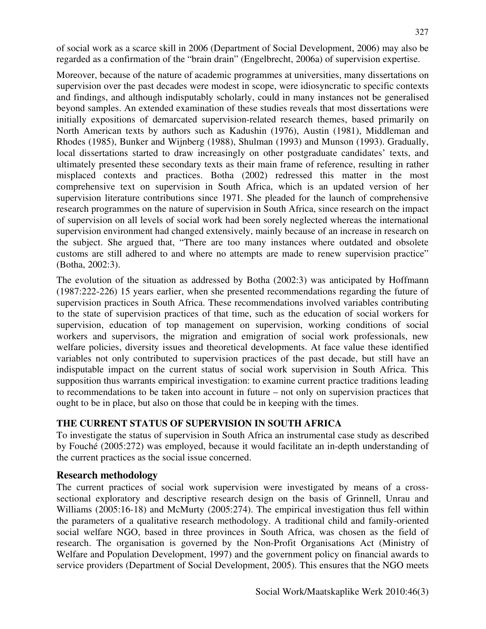of social work as a scarce skill in 2006 (Department of Social Development, 2006) may also be regarded as a confirmation of the "brain drain" (Engelbrecht, 2006a) of supervision expertise.

Moreover, because of the nature of academic programmes at universities, many dissertations on supervision over the past decades were modest in scope, were idiosyncratic to specific contexts and findings, and although indisputably scholarly, could in many instances not be generalised beyond samples. An extended examination of these studies reveals that most dissertations were initially expositions of demarcated supervision-related research themes, based primarily on North American texts by authors such as Kadushin (1976), Austin (1981), Middleman and Rhodes (1985), Bunker and Wijnberg (1988), Shulman (1993) and Munson (1993). Gradually, local dissertations started to draw increasingly on other postgraduate candidates' texts, and ultimately presented these secondary texts as their main frame of reference, resulting in rather misplaced contexts and practices. Botha (2002) redressed this matter in the most comprehensive text on supervision in South Africa, which is an updated version of her supervision literature contributions since 1971. She pleaded for the launch of comprehensive research programmes on the nature of supervision in South Africa, since research on the impact of supervision on all levels of social work had been sorely neglected whereas the international supervision environment had changed extensively, mainly because of an increase in research on the subject. She argued that, "There are too many instances where outdated and obsolete customs are still adhered to and where no attempts are made to renew supervision practice" (Botha, 2002:3).

The evolution of the situation as addressed by Botha (2002:3) was anticipated by Hoffmann (1987:222-226) 15 years earlier, when she presented recommendations regarding the future of supervision practices in South Africa. These recommendations involved variables contributing to the state of supervision practices of that time, such as the education of social workers for supervision, education of top management on supervision, working conditions of social workers and supervisors, the migration and emigration of social work professionals, new welfare policies, diversity issues and theoretical developments. At face value these identified variables not only contributed to supervision practices of the past decade, but still have an indisputable impact on the current status of social work supervision in South Africa. This supposition thus warrants empirical investigation: to examine current practice traditions leading to recommendations to be taken into account in future – not only on supervision practices that ought to be in place, but also on those that could be in keeping with the times.

### **THE CURRENT STATUS OF SUPERVISION IN SOUTH AFRICA**

To investigate the status of supervision in South Africa an instrumental case study as described by Fouché (2005:272) was employed, because it would facilitate an in-depth understanding of the current practices as the social issue concerned.

### **Research methodology**

The current practices of social work supervision were investigated by means of a crosssectional exploratory and descriptive research design on the basis of Grinnell, Unrau and Williams (2005:16-18) and McMurty (2005:274). The empirical investigation thus fell within the parameters of a qualitative research methodology. A traditional child and family-oriented social welfare NGO, based in three provinces in South Africa, was chosen as the field of research. The organisation is governed by the Non-Profit Organisations Act (Ministry of Welfare and Population Development, 1997) and the government policy on financial awards to service providers (Department of Social Development, 2005). This ensures that the NGO meets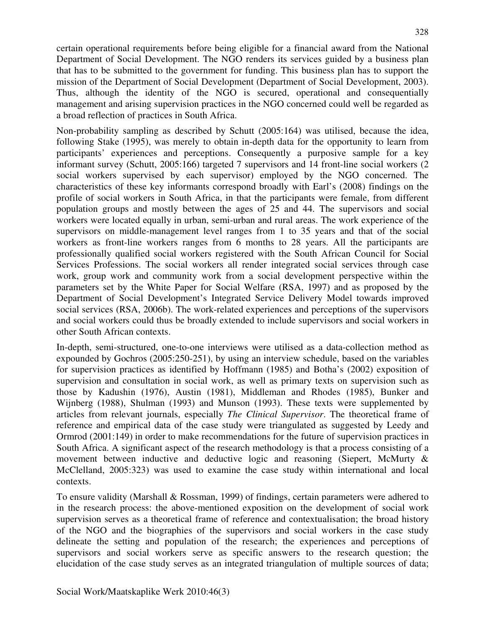certain operational requirements before being eligible for a financial award from the National Department of Social Development. The NGO renders its services guided by a business plan that has to be submitted to the government for funding. This business plan has to support the mission of the Department of Social Development (Department of Social Development, 2003). Thus, although the identity of the NGO is secured, operational and consequentially management and arising supervision practices in the NGO concerned could well be regarded as a broad reflection of practices in South Africa.

Non-probability sampling as described by Schutt (2005:164) was utilised, because the idea, following Stake (1995), was merely to obtain in-depth data for the opportunity to learn from participants' experiences and perceptions. Consequently a purposive sample for a key informant survey (Schutt, 2005:166) targeted 7 supervisors and 14 front-line social workers (2 social workers supervised by each supervisor) employed by the NGO concerned. The characteristics of these key informants correspond broadly with Earl's (2008) findings on the profile of social workers in South Africa, in that the participants were female, from different population groups and mostly between the ages of 25 and 44. The supervisors and social workers were located equally in urban, semi-urban and rural areas. The work experience of the supervisors on middle-management level ranges from 1 to 35 years and that of the social workers as front-line workers ranges from 6 months to 28 years. All the participants are professionally qualified social workers registered with the South African Council for Social Services Professions. The social workers all render integrated social services through case work, group work and community work from a social development perspective within the parameters set by the White Paper for Social Welfare (RSA, 1997) and as proposed by the Department of Social Development's Integrated Service Delivery Model towards improved social services (RSA, 2006b). The work-related experiences and perceptions of the supervisors and social workers could thus be broadly extended to include supervisors and social workers in other South African contexts.

In-depth, semi-structured, one-to-one interviews were utilised as a data-collection method as expounded by Gochros (2005:250-251), by using an interview schedule, based on the variables for supervision practices as identified by Hoffmann (1985) and Botha's (2002) exposition of supervision and consultation in social work, as well as primary texts on supervision such as those by Kadushin (1976), Austin (1981), Middleman and Rhodes (1985), Bunker and Wijnberg (1988), Shulman (1993) and Munson (1993). These texts were supplemented by articles from relevant journals, especially *The Clinical Supervisor*. The theoretical frame of reference and empirical data of the case study were triangulated as suggested by Leedy and Ormrod (2001:149) in order to make recommendations for the future of supervision practices in South Africa. A significant aspect of the research methodology is that a process consisting of a movement between inductive and deductive logic and reasoning (Siepert, McMurty & McClelland, 2005:323) was used to examine the case study within international and local contexts.

To ensure validity (Marshall & Rossman, 1999) of findings, certain parameters were adhered to in the research process: the above-mentioned exposition on the development of social work supervision serves as a theoretical frame of reference and contextualisation; the broad history of the NGO and the biographies of the supervisors and social workers in the case study delineate the setting and population of the research; the experiences and perceptions of supervisors and social workers serve as specific answers to the research question; the elucidation of the case study serves as an integrated triangulation of multiple sources of data;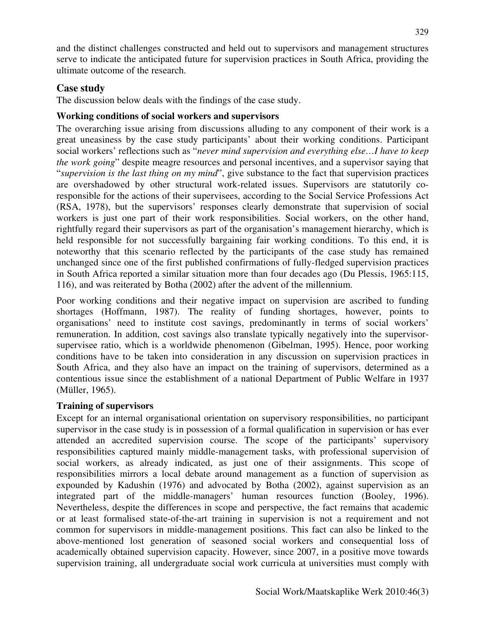and the distinct challenges constructed and held out to supervisors and management structures serve to indicate the anticipated future for supervision practices in South Africa, providing the ultimate outcome of the research.

## **Case study**

The discussion below deals with the findings of the case study.

## **Working conditions of social workers and supervisors**

The overarching issue arising from discussions alluding to any component of their work is a great uneasiness by the case study participants' about their working conditions. Participant social workers' reflections such as "*never mind supervision and everything else…I have to keep the work going*" despite meagre resources and personal incentives, and a supervisor saying that "*supervision is the last thing on my mind*", give substance to the fact that supervision practices are overshadowed by other structural work-related issues. Supervisors are statutorily coresponsible for the actions of their supervisees, according to the Social Service Professions Act (RSA, 1978), but the supervisors' responses clearly demonstrate that supervision of social workers is just one part of their work responsibilities. Social workers, on the other hand, rightfully regard their supervisors as part of the organisation's management hierarchy, which is held responsible for not successfully bargaining fair working conditions. To this end, it is noteworthy that this scenario reflected by the participants of the case study has remained unchanged since one of the first published confirmations of fully-fledged supervision practices in South Africa reported a similar situation more than four decades ago (Du Plessis, 1965:115, 116), and was reiterated by Botha (2002) after the advent of the millennium.

Poor working conditions and their negative impact on supervision are ascribed to funding shortages (Hoffmann, 1987). The reality of funding shortages, however, points to organisations' need to institute cost savings, predominantly in terms of social workers' remuneration. In addition, cost savings also translate typically negatively into the supervisorsupervisee ratio, which is a worldwide phenomenon (Gibelman, 1995). Hence, poor working conditions have to be taken into consideration in any discussion on supervision practices in South Africa, and they also have an impact on the training of supervisors, determined as a contentious issue since the establishment of a national Department of Public Welfare in 1937 (Müller, 1965).

### **Training of supervisors**

Except for an internal organisational orientation on supervisory responsibilities, no participant supervisor in the case study is in possession of a formal qualification in supervision or has ever attended an accredited supervision course. The scope of the participants' supervisory responsibilities captured mainly middle-management tasks, with professional supervision of social workers, as already indicated, as just one of their assignments. This scope of responsibilities mirrors a local debate around management as a function of supervision as expounded by Kadushin (1976) and advocated by Botha (2002), against supervision as an integrated part of the middle-managers' human resources function (Booley, 1996). Nevertheless, despite the differences in scope and perspective, the fact remains that academic or at least formalised state-of-the-art training in supervision is not a requirement and not common for supervisors in middle-management positions. This fact can also be linked to the above-mentioned lost generation of seasoned social workers and consequential loss of academically obtained supervision capacity. However, since 2007, in a positive move towards supervision training, all undergraduate social work curricula at universities must comply with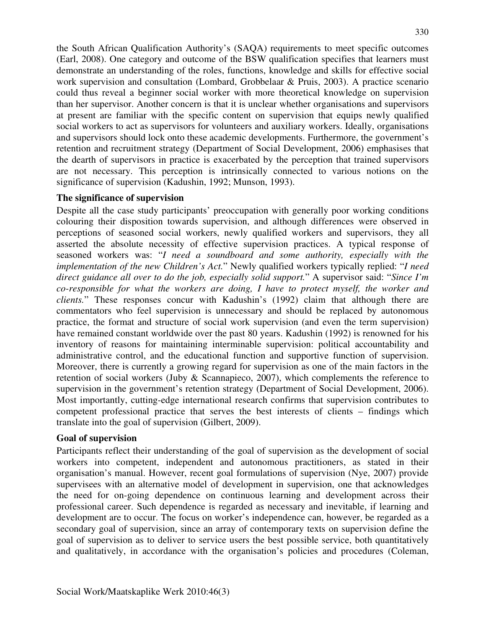the South African Qualification Authority's (SAQA) requirements to meet specific outcomes (Earl, 2008). One category and outcome of the BSW qualification specifies that learners must demonstrate an understanding of the roles, functions, knowledge and skills for effective social work supervision and consultation (Lombard, Grobbelaar & Pruis, 2003). A practice scenario could thus reveal a beginner social worker with more theoretical knowledge on supervision than her supervisor. Another concern is that it is unclear whether organisations and supervisors at present are familiar with the specific content on supervision that equips newly qualified social workers to act as supervisors for volunteers and auxiliary workers. Ideally, organisations and supervisors should lock onto these academic developments. Furthermore, the government's retention and recruitment strategy (Department of Social Development, 2006) emphasises that the dearth of supervisors in practice is exacerbated by the perception that trained supervisors are not necessary. This perception is intrinsically connected to various notions on the significance of supervision (Kadushin, 1992; Munson, 1993).

#### **The significance of supervision**

Despite all the case study participants' preoccupation with generally poor working conditions colouring their disposition towards supervision, and although differences were observed in perceptions of seasoned social workers, newly qualified workers and supervisors, they all asserted the absolute necessity of effective supervision practices. A typical response of seasoned workers was: "*I need a soundboard and some authority, especially with the implementation of the new Children's Act.*" Newly qualified workers typically replied: "*I need direct guidance all over to do the job, especially solid support.*" A supervisor said: "*Since I'm co-responsible for what the workers are doing, I have to protect myself, the worker and clients.*" These responses concur with Kadushin's (1992) claim that although there are commentators who feel supervision is unnecessary and should be replaced by autonomous practice, the format and structure of social work supervision (and even the term supervision) have remained constant worldwide over the past 80 years. Kadushin (1992) is renowned for his inventory of reasons for maintaining interminable supervision: political accountability and administrative control, and the educational function and supportive function of supervision. Moreover, there is currently a growing regard for supervision as one of the main factors in the retention of social workers (Juby & Scannapieco, 2007), which complements the reference to supervision in the government's retention strategy (Department of Social Development, 2006). Most importantly, cutting-edge international research confirms that supervision contributes to competent professional practice that serves the best interests of clients – findings which translate into the goal of supervision (Gilbert, 2009).

#### **Goal of supervision**

Participants reflect their understanding of the goal of supervision as the development of social workers into competent, independent and autonomous practitioners, as stated in their organisation's manual. However, recent goal formulations of supervision (Nye, 2007) provide supervisees with an alternative model of development in supervision, one that acknowledges the need for on-going dependence on continuous learning and development across their professional career. Such dependence is regarded as necessary and inevitable, if learning and development are to occur. The focus on worker's independence can, however, be regarded as a secondary goal of supervision, since an array of contemporary texts on supervision define the goal of supervision as to deliver to service users the best possible service, both quantitatively and qualitatively, in accordance with the organisation's policies and procedures (Coleman,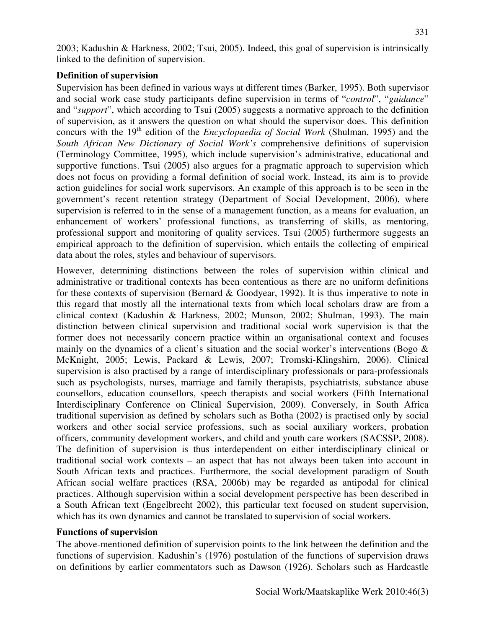2003; Kadushin & Harkness, 2002; Tsui, 2005). Indeed, this goal of supervision is intrinsically linked to the definition of supervision.

### **Definition of supervision**

Supervision has been defined in various ways at different times (Barker, 1995). Both supervisor and social work case study participants define supervision in terms of "*control*", "*guidance*" and "*support*", which according to Tsui (2005) suggests a normative approach to the definition of supervision, as it answers the question on what should the supervisor does. This definition concurs with the 19<sup>th</sup> edition of the *Encyclopaedia of Social Work* (Shulman, 1995) and the *South African New Dictionary of Social Work's* comprehensive definitions of supervision (Terminology Committee, 1995), which include supervision's administrative, educational and supportive functions. Tsui (2005) also argues for a pragmatic approach to supervision which does not focus on providing a formal definition of social work. Instead, its aim is to provide action guidelines for social work supervisors. An example of this approach is to be seen in the government's recent retention strategy (Department of Social Development, 2006), where supervision is referred to in the sense of a management function, as a means for evaluation, an enhancement of workers' professional functions, as transferring of skills, as mentoring, professional support and monitoring of quality services. Tsui (2005) furthermore suggests an empirical approach to the definition of supervision, which entails the collecting of empirical data about the roles, styles and behaviour of supervisors.

However, determining distinctions between the roles of supervision within clinical and administrative or traditional contexts has been contentious as there are no uniform definitions for these contexts of supervision (Bernard  $& Goodyear$ , 1992). It is thus imperative to note in this regard that mostly all the international texts from which local scholars draw are from a clinical context (Kadushin & Harkness, 2002; Munson, 2002; Shulman, 1993). The main distinction between clinical supervision and traditional social work supervision is that the former does not necessarily concern practice within an organisational context and focuses mainly on the dynamics of a client's situation and the social worker's interventions (Bogo & McKnight, 2005; Lewis, Packard & Lewis, 2007; Tromski-Klingshirn, 2006). Clinical supervision is also practised by a range of interdisciplinary professionals or para-professionals such as psychologists, nurses, marriage and family therapists, psychiatrists, substance abuse counsellors, education counsellors, speech therapists and social workers (Fifth International Interdisciplinary Conference on Clinical Supervision, 2009). Conversely, in South Africa traditional supervision as defined by scholars such as Botha (2002) is practised only by social workers and other social service professions, such as social auxiliary workers, probation officers, community development workers, and child and youth care workers (SACSSP, 2008). The definition of supervision is thus interdependent on either interdisciplinary clinical or traditional social work contexts – an aspect that has not always been taken into account in South African texts and practices. Furthermore, the social development paradigm of South African social welfare practices (RSA, 2006b) may be regarded as antipodal for clinical practices. Although supervision within a social development perspective has been described in a South African text (Engelbrecht 2002), this particular text focused on student supervision, which has its own dynamics and cannot be translated to supervision of social workers.

### **Functions of supervision**

The above-mentioned definition of supervision points to the link between the definition and the functions of supervision. Kadushin's (1976) postulation of the functions of supervision draws on definitions by earlier commentators such as Dawson (1926). Scholars such as Hardcastle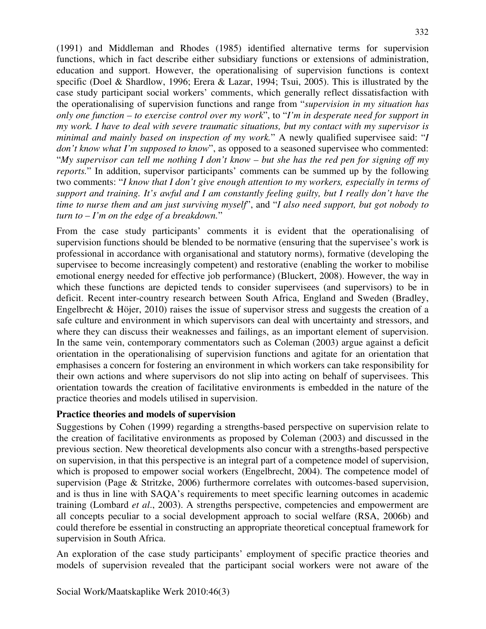(1991) and Middleman and Rhodes (1985) identified alternative terms for supervision functions, which in fact describe either subsidiary functions or extensions of administration, education and support. However, the operationalising of supervision functions is context specific (Doel & Shardlow, 1996; Erera & Lazar, 1994; Tsui, 2005). This is illustrated by the case study participant social workers' comments, which generally reflect dissatisfaction with the operationalising of supervision functions and range from "*supervision in my situation has only one function – to exercise control over my work*", to "*I'm in desperate need for support in my work. I have to deal with severe traumatic situations, but my contact with my supervisor is minimal and mainly based on inspection of my work.*" A newly qualified supervisee said: "*I don't know what I'm supposed to know*", as opposed to a seasoned supervisee who commented: "*My supervisor can tell me nothing I don't know – but she has the red pen for signing off my reports.*" In addition, supervisor participants' comments can be summed up by the following two comments: "*I know that I don't give enough attention to my workers, especially in terms of support and training. It's awful and I am constantly feeling guilty, but I really don't have the time to nurse them and am just surviving myself*", and "*I also need support, but got nobody to turn to – I'm on the edge of a breakdown.*"

From the case study participants' comments it is evident that the operationalising of supervision functions should be blended to be normative (ensuring that the supervisee's work is professional in accordance with organisational and statutory norms), formative (developing the supervisee to become increasingly competent) and restorative (enabling the worker to mobilise emotional energy needed for effective job performance) (Bluckert, 2008). However, the way in which these functions are depicted tends to consider supervisees (and supervisors) to be in deficit. Recent inter-country research between South Africa, England and Sweden (Bradley, Engelbrecht & Höjer, 2010) raises the issue of supervisor stress and suggests the creation of a safe culture and environment in which supervisors can deal with uncertainty and stressors, and where they can discuss their weaknesses and failings, as an important element of supervision. In the same vein, contemporary commentators such as Coleman (2003) argue against a deficit orientation in the operationalising of supervision functions and agitate for an orientation that emphasises a concern for fostering an environment in which workers can take responsibility for their own actions and where supervisors do not slip into acting on behalf of supervisees. This orientation towards the creation of facilitative environments is embedded in the nature of the practice theories and models utilised in supervision.

### **Practice theories and models of supervision**

Suggestions by Cohen (1999) regarding a strengths-based perspective on supervision relate to the creation of facilitative environments as proposed by Coleman (2003) and discussed in the previous section. New theoretical developments also concur with a strengths-based perspective on supervision, in that this perspective is an integral part of a competence model of supervision, which is proposed to empower social workers (Engelbrecht, 2004). The competence model of supervision (Page & Stritzke, 2006) furthermore correlates with outcomes-based supervision, and is thus in line with SAQA's requirements to meet specific learning outcomes in academic training (Lombard *et al*., 2003). A strengths perspective, competencies and empowerment are all concepts peculiar to a social development approach to social welfare (RSA, 2006b) and could therefore be essential in constructing an appropriate theoretical conceptual framework for supervision in South Africa.

An exploration of the case study participants' employment of specific practice theories and models of supervision revealed that the participant social workers were not aware of the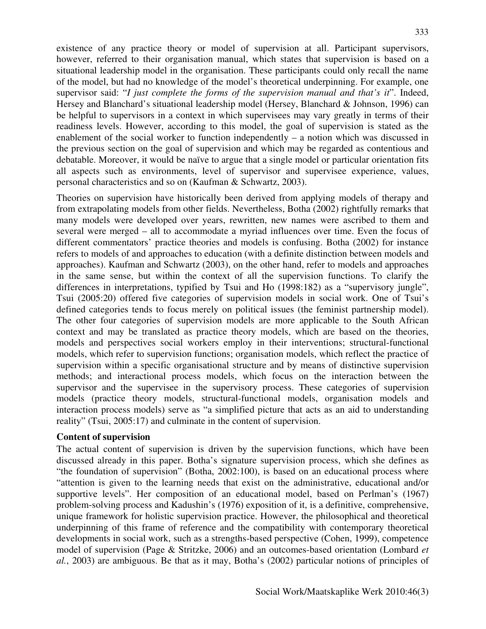existence of any practice theory or model of supervision at all. Participant supervisors, however, referred to their organisation manual, which states that supervision is based on a situational leadership model in the organisation. These participants could only recall the name of the model, but had no knowledge of the model's theoretical underpinning. For example, one supervisor said: "*I just complete the forms of the supervision manual and that's it*". Indeed, Hersey and Blanchard's situational leadership model (Hersey, Blanchard & Johnson, 1996) can be helpful to supervisors in a context in which supervisees may vary greatly in terms of their readiness levels. However, according to this model, the goal of supervision is stated as the enablement of the social worker to function independently – a notion which was discussed in the previous section on the goal of supervision and which may be regarded as contentious and debatable. Moreover, it would be naïve to argue that a single model or particular orientation fits all aspects such as environments, level of supervisor and supervisee experience, values, personal characteristics and so on (Kaufman & Schwartz, 2003).

Theories on supervision have historically been derived from applying models of therapy and from extrapolating models from other fields. Nevertheless, Botha (2002) rightfully remarks that many models were developed over years, rewritten, new names were ascribed to them and several were merged – all to accommodate a myriad influences over time. Even the focus of different commentators' practice theories and models is confusing. Botha (2002) for instance refers to models of and approaches to education (with a definite distinction between models and approaches). Kaufman and Schwartz (2003), on the other hand, refer to models and approaches in the same sense, but within the context of all the supervision functions. To clarify the differences in interpretations, typified by Tsui and Ho (1998:182) as a "supervisory jungle", Tsui (2005:20) offered five categories of supervision models in social work. One of Tsui's defined categories tends to focus merely on political issues (the feminist partnership model). The other four categories of supervision models are more applicable to the South African context and may be translated as practice theory models, which are based on the theories, models and perspectives social workers employ in their interventions; structural-functional models, which refer to supervision functions; organisation models, which reflect the practice of supervision within a specific organisational structure and by means of distinctive supervision methods; and interactional process models, which focus on the interaction between the supervisor and the supervisee in the supervisory process. These categories of supervision models (practice theory models, structural-functional models, organisation models and interaction process models) serve as "a simplified picture that acts as an aid to understanding reality" (Tsui, 2005:17) and culminate in the content of supervision.

#### **Content of supervision**

The actual content of supervision is driven by the supervision functions, which have been discussed already in this paper. Botha's signature supervision process, which she defines as "the foundation of supervision" (Botha, 2002:100), is based on an educational process where "attention is given to the learning needs that exist on the administrative, educational and/or supportive levels". Her composition of an educational model, based on Perlman's (1967) problem-solving process and Kadushin's (1976) exposition of it, is a definitive, comprehensive, unique framework for holistic supervision practice. However, the philosophical and theoretical underpinning of this frame of reference and the compatibility with contemporary theoretical developments in social work, such as a strengths-based perspective (Cohen, 1999), competence model of supervision (Page & Stritzke, 2006) and an outcomes-based orientation (Lombard *et al.*, 2003) are ambiguous. Be that as it may, Botha's (2002) particular notions of principles of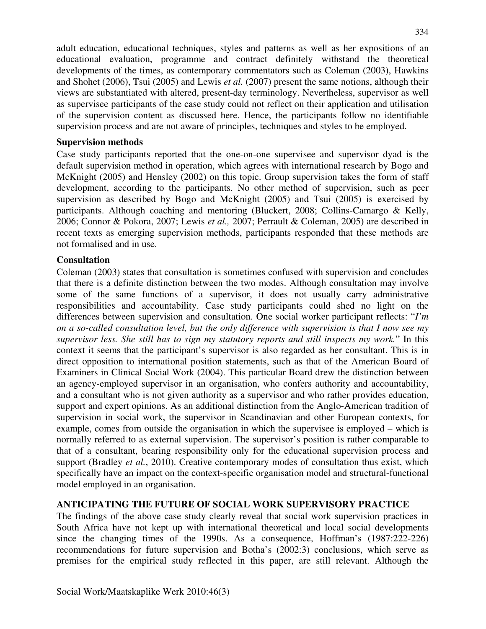adult education, educational techniques, styles and patterns as well as her expositions of an educational evaluation, programme and contract definitely withstand the theoretical developments of the times, as contemporary commentators such as Coleman (2003), Hawkins and Shohet (2006), Tsui (2005) and Lewis *et al.* (2007) present the same notions, although their views are substantiated with altered, present-day terminology. Nevertheless, supervisor as well as supervisee participants of the case study could not reflect on their application and utilisation of the supervision content as discussed here. Hence, the participants follow no identifiable supervision process and are not aware of principles, techniques and styles to be employed.

### **Supervision methods**

Case study participants reported that the one-on-one supervisee and supervisor dyad is the default supervision method in operation, which agrees with international research by Bogo and McKnight (2005) and Hensley (2002) on this topic. Group supervision takes the form of staff development, according to the participants. No other method of supervision, such as peer supervision as described by Bogo and McKnight (2005) and Tsui (2005) is exercised by participants. Although coaching and mentoring (Bluckert, 2008; Collins-Camargo & Kelly, 2006; Connor & Pokora, 2007; Lewis *et al.,* 2007; Perrault & Coleman, 2005) are described in recent texts as emerging supervision methods, participants responded that these methods are not formalised and in use.

### **Consultation**

Coleman (2003) states that consultation is sometimes confused with supervision and concludes that there is a definite distinction between the two modes. Although consultation may involve some of the same functions of a supervisor, it does not usually carry administrative responsibilities and accountability. Case study participants could shed no light on the differences between supervision and consultation. One social worker participant reflects: "*I'm on a so-called consultation level, but the only difference with supervision is that I now see my supervisor less. She still has to sign my statutory reports and still inspects my work.*" In this context it seems that the participant's supervisor is also regarded as her consultant. This is in direct opposition to international position statements, such as that of the American Board of Examiners in Clinical Social Work (2004). This particular Board drew the distinction between an agency-employed supervisor in an organisation, who confers authority and accountability, and a consultant who is not given authority as a supervisor and who rather provides education, support and expert opinions. As an additional distinction from the Anglo-American tradition of supervision in social work, the supervisor in Scandinavian and other European contexts, for example, comes from outside the organisation in which the supervisee is employed – which is normally referred to as external supervision. The supervisor's position is rather comparable to that of a consultant, bearing responsibility only for the educational supervision process and support (Bradley *et al.*, 2010). Creative contemporary modes of consultation thus exist, which specifically have an impact on the context-specific organisation model and structural-functional model employed in an organisation.

### **ANTICIPATING THE FUTURE OF SOCIAL WORK SUPERVISORY PRACTICE**

The findings of the above case study clearly reveal that social work supervision practices in South Africa have not kept up with international theoretical and local social developments since the changing times of the 1990s. As a consequence, Hoffman's (1987:222-226) recommendations for future supervision and Botha's (2002:3) conclusions, which serve as premises for the empirical study reflected in this paper, are still relevant. Although the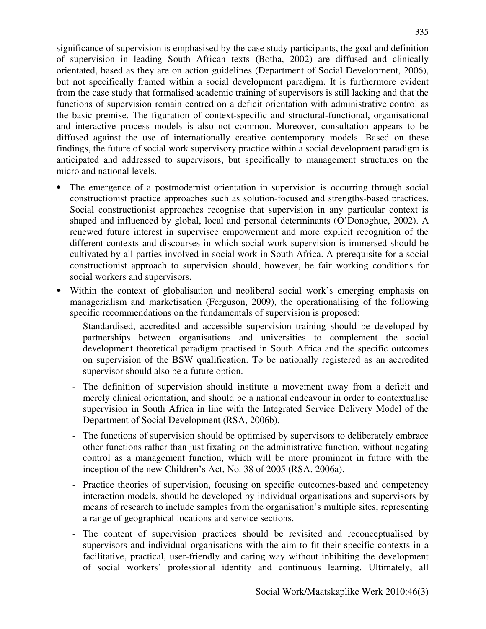significance of supervision is emphasised by the case study participants, the goal and definition of supervision in leading South African texts (Botha, 2002) are diffused and clinically orientated, based as they are on action guidelines (Department of Social Development, 2006), but not specifically framed within a social development paradigm. It is furthermore evident from the case study that formalised academic training of supervisors is still lacking and that the functions of supervision remain centred on a deficit orientation with administrative control as the basic premise. The figuration of context-specific and structural-functional, organisational and interactive process models is also not common. Moreover, consultation appears to be diffused against the use of internationally creative contemporary models. Based on these findings, the future of social work supervisory practice within a social development paradigm is anticipated and addressed to supervisors, but specifically to management structures on the micro and national levels.

- The emergence of a postmodernist orientation in supervision is occurring through social constructionist practice approaches such as solution-focused and strengths-based practices. Social constructionist approaches recognise that supervision in any particular context is shaped and influenced by global, local and personal determinants (O'Donoghue, 2002). A renewed future interest in supervisee empowerment and more explicit recognition of the different contexts and discourses in which social work supervision is immersed should be cultivated by all parties involved in social work in South Africa. A prerequisite for a social constructionist approach to supervision should, however, be fair working conditions for social workers and supervisors.
- Within the context of globalisation and neoliberal social work's emerging emphasis on managerialism and marketisation (Ferguson, 2009), the operationalising of the following specific recommendations on the fundamentals of supervision is proposed:
	- Standardised, accredited and accessible supervision training should be developed by partnerships between organisations and universities to complement the social development theoretical paradigm practised in South Africa and the specific outcomes on supervision of the BSW qualification. To be nationally registered as an accredited supervisor should also be a future option.
	- The definition of supervision should institute a movement away from a deficit and merely clinical orientation, and should be a national endeavour in order to contextualise supervision in South Africa in line with the Integrated Service Delivery Model of the Department of Social Development (RSA, 2006b).
	- The functions of supervision should be optimised by supervisors to deliberately embrace other functions rather than just fixating on the administrative function, without negating control as a management function, which will be more prominent in future with the inception of the new Children's Act, No. 38 of 2005 (RSA, 2006a).
	- Practice theories of supervision, focusing on specific outcomes-based and competency interaction models, should be developed by individual organisations and supervisors by means of research to include samples from the organisation's multiple sites, representing a range of geographical locations and service sections.
	- The content of supervision practices should be revisited and reconceptualised by supervisors and individual organisations with the aim to fit their specific contexts in a facilitative, practical, user-friendly and caring way without inhibiting the development of social workers' professional identity and continuous learning. Ultimately, all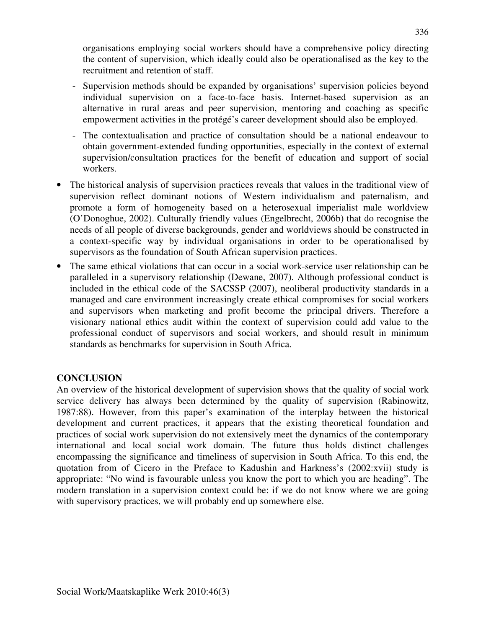organisations employing social workers should have a comprehensive policy directing the content of supervision, which ideally could also be operationalised as the key to the recruitment and retention of staff.

- Supervision methods should be expanded by organisations' supervision policies beyond individual supervision on a face-to-face basis. Internet-based supervision as an alternative in rural areas and peer supervision, mentoring and coaching as specific empowerment activities in the protégé's career development should also be employed.
- The contextualisation and practice of consultation should be a national endeavour to obtain government-extended funding opportunities, especially in the context of external supervision/consultation practices for the benefit of education and support of social workers.
- The historical analysis of supervision practices reveals that values in the traditional view of supervision reflect dominant notions of Western individualism and paternalism, and promote a form of homogeneity based on a heterosexual imperialist male worldview (O'Donoghue, 2002). Culturally friendly values (Engelbrecht, 2006b) that do recognise the needs of all people of diverse backgrounds, gender and worldviews should be constructed in a context-specific way by individual organisations in order to be operationalised by supervisors as the foundation of South African supervision practices.
- The same ethical violations that can occur in a social work-service user relationship can be paralleled in a supervisory relationship (Dewane, 2007). Although professional conduct is included in the ethical code of the SACSSP (2007), neoliberal productivity standards in a managed and care environment increasingly create ethical compromises for social workers and supervisors when marketing and profit become the principal drivers. Therefore a visionary national ethics audit within the context of supervision could add value to the professional conduct of supervisors and social workers, and should result in minimum standards as benchmarks for supervision in South Africa.

### **CONCLUSION**

An overview of the historical development of supervision shows that the quality of social work service delivery has always been determined by the quality of supervision (Rabinowitz, 1987:88). However, from this paper's examination of the interplay between the historical development and current practices, it appears that the existing theoretical foundation and practices of social work supervision do not extensively meet the dynamics of the contemporary international and local social work domain. The future thus holds distinct challenges encompassing the significance and timeliness of supervision in South Africa. To this end, the quotation from of Cicero in the Preface to Kadushin and Harkness's (2002:xvii) study is appropriate: "No wind is favourable unless you know the port to which you are heading". The modern translation in a supervision context could be: if we do not know where we are going with supervisory practices, we will probably end up somewhere else.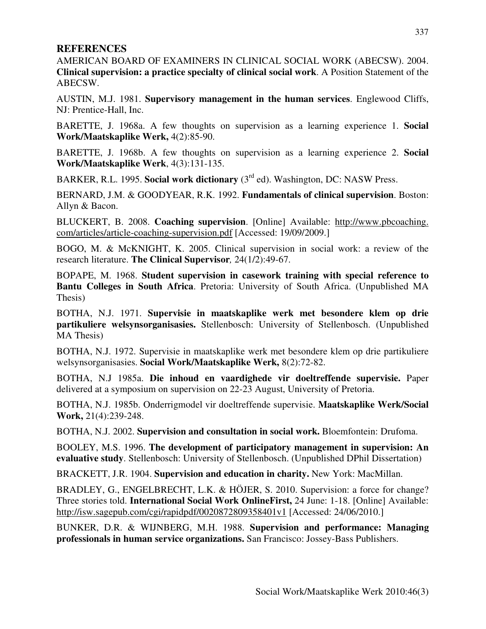### **REFERENCES**

AMERICAN BOARD OF EXAMINERS IN CLINICAL SOCIAL WORK (ABECSW). 2004. **Clinical supervision: a practice specialty of clinical social work**. A Position Statement of the ABECSW.

AUSTIN, M.J. 1981. **Supervisory management in the human services**. Englewood Cliffs, NJ: Prentice-Hall, Inc.

BARETTE, J. 1968a. A few thoughts on supervision as a learning experience 1. **Social Work/Maatskaplike Werk,** 4(2):85-90.

BARETTE, J. 1968b. A few thoughts on supervision as a learning experience 2. **Social Work/Maatskaplike Werk**, 4(3):131-135.

BARKER, R.L. 1995. **Social work dictionary** (3rd ed). Washington, DC: NASW Press.

BERNARD, J.M. & GOODYEAR, R.K. 1992. **Fundamentals of clinical supervision**. Boston: Allyn & Bacon.

BLUCKERT, B. 2008. **Coaching supervision**. [Online] Available: http://www.pbcoaching. com/articles/article-coaching-supervision.pdf [Accessed: 19/09/2009.]

BOGO, M. & McKNIGHT, K. 2005. Clinical supervision in social work: a review of the research literature. **The Clinical Supervisor***,* 24(1/2):49-67.

BOPAPE, M. 1968. **Student supervision in casework training with special reference to Bantu Colleges in South Africa**. Pretoria: University of South Africa. (Unpublished MA Thesis)

BOTHA, N.J. 1971. **Supervisie in maatskaplike werk met besondere klem op drie partikuliere welsynsorganisasies.** Stellenbosch: University of Stellenbosch. (Unpublished MA Thesis)

BOTHA, N.J. 1972. Supervisie in maatskaplike werk met besondere klem op drie partikuliere welsynsorganisasies. **Social Work/Maatskaplike Werk,** 8(2):72-82.

BOTHA, N.J 1985a. **Die inhoud en vaardighede vir doeltreffende supervisie.** Paper delivered at a symposium on supervision on 22-23 August, University of Pretoria.

BOTHA, N.J. 1985b. Onderrigmodel vir doeltreffende supervisie. **Maatskaplike Werk/Social Work,** 21(4):239-248.

BOTHA, N.J. 2002. **Supervision and consultation in social work.** Bloemfontein: Drufoma.

BOOLEY, M.S. 1996. **The development of participatory management in supervision: An evaluative study**. Stellenbosch: University of Stellenbosch. (Unpublished DPhil Dissertation)

BRACKETT, J.R. 1904. **Supervision and education in charity.** New York: MacMillan.

BRADLEY, G., ENGELBRECHT, L.K. & HÖJER, S. 2010. Supervision: a force for change? Three stories told. **International Social Work OnlineFirst,** 24 June: 1-18. [Online] Available: http://isw.sagepub.com/cgi/rapidpdf/0020872809358401v1 [Accessed: 24/06/2010.]

BUNKER, D.R. & WIJNBERG, M.H. 1988. **Supervision and performance: Managing professionals in human service organizations.** San Francisco: Jossey-Bass Publishers.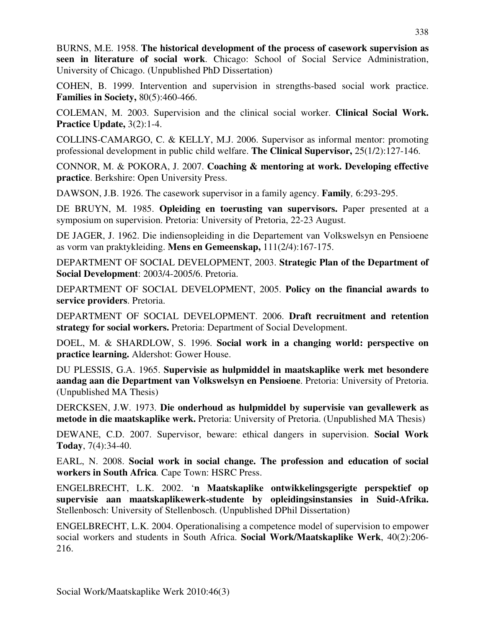BURNS, M.E. 1958. **The historical development of the process of casework supervision as seen in literature of social work**. Chicago: School of Social Service Administration, University of Chicago. (Unpublished PhD Dissertation)

COHEN, B. 1999. Intervention and supervision in strengths-based social work practice. **Families in Society, 80(5):460-466.** 

COLEMAN, M. 2003. Supervision and the clinical social worker. **Clinical Social Work. Practice Update,** 3(2):1-4.

COLLINS-CAMARGO, C. & KELLY, M.J. 2006. Supervisor as informal mentor: promoting professional development in public child welfare. **The Clinical Supervisor,** 25(1/2):127-146.

CONNOR, M. & POKORA, J. 2007. **Coaching & mentoring at work. Developing effective practice**. Berkshire: Open University Press.

DAWSON, J.B. 1926. The casework supervisor in a family agency. **Family***,* 6:293-295.

DE BRUYN, M. 1985. **Opleiding en toerusting van supervisors.** Paper presented at a symposium on supervision. Pretoria: University of Pretoria, 22-23 August.

DE JAGER, J. 1962. Die indiensopleiding in die Departement van Volkswelsyn en Pensioene as vorm van praktykleiding. **Mens en Gemeenskap,** 111(2/4):167-175.

DEPARTMENT OF SOCIAL DEVELOPMENT, 2003. **Strategic Plan of the Department of Social Development**: 2003/4-2005/6. Pretoria.

DEPARTMENT OF SOCIAL DEVELOPMENT, 2005. **Policy on the financial awards to service providers**. Pretoria.

DEPARTMENT OF SOCIAL DEVELOPMENT. 2006. **Draft recruitment and retention strategy for social workers.** Pretoria: Department of Social Development.

DOEL, M. & SHARDLOW, S. 1996. **Social work in a changing world: perspective on practice learning.** Aldershot: Gower House.

DU PLESSIS, G.A. 1965. **Supervisie as hulpmiddel in maatskaplike werk met besondere aandag aan die Department van Volkswelsyn en Pensioene**. Pretoria: University of Pretoria. (Unpublished MA Thesis)

DERCKSEN, J.W. 1973. **Die onderhoud as hulpmiddel by supervisie van gevallewerk as metode in die maatskaplike werk.** Pretoria: University of Pretoria. (Unpublished MA Thesis)

DEWANE, C.D. 2007. Supervisor, beware: ethical dangers in supervision. **Social Work Today**, 7(4):34-40.

EARL, N. 2008. **Social work in social change. The profession and education of social workers in South Africa***.* Cape Town: HSRC Press.

ENGELBRECHT, L.K. 2002. '**n Maatskaplike ontwikkelingsgerigte perspektief op supervisie aan maatskaplikewerk-studente by opleidingsinstansies in Suid-Afrika.** Stellenbosch: University of Stellenbosch. (Unpublished DPhil Dissertation)

ENGELBRECHT, L.K. 2004. Operationalising a competence model of supervision to empower social workers and students in South Africa. **Social Work/Maatskaplike Werk**, 40(2):206- 216.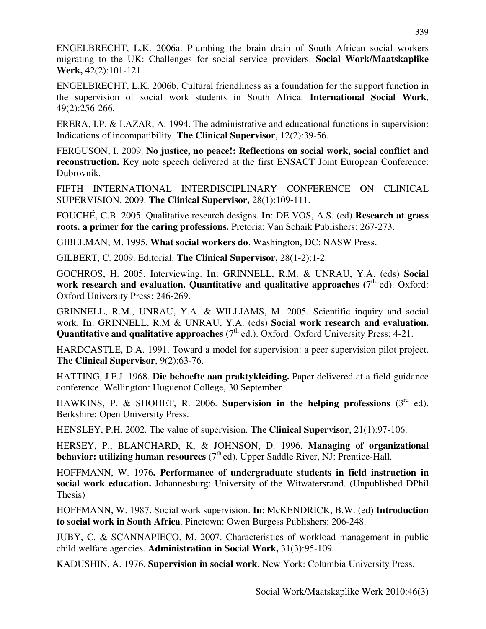ENGELBRECHT, L.K. 2006a. Plumbing the brain drain of South African social workers migrating to the UK: Challenges for social service providers. **Social Work/Maatskaplike Werk,** 42(2):101-121.

ENGELBRECHT, L.K. 2006b. Cultural friendliness as a foundation for the support function in the supervision of social work students in South Africa. **International Social Work**, 49(2):256-266.

ERERA, I.P. & LAZAR, A. 1994. The administrative and educational functions in supervision: Indications of incompatibility. **The Clinical Supervisor**, 12(2):39-56.

FERGUSON, I. 2009. **No justice, no peace!: Reflections on social work, social conflict and reconstruction.** Key note speech delivered at the first ENSACT Joint European Conference: Dubrovnik.

FIFTH INTERNATIONAL INTERDISCIPLINARY CONFERENCE ON CLINICAL SUPERVISION. 2009. **The Clinical Supervisor,** 28(1):109-111.

FOUCHÉ, C.B. 2005. Qualitative research designs. **In**: DE VOS, A.S. (ed) **Research at grass roots. a primer for the caring professions.** Pretoria: Van Schaik Publishers: 267-273.

GIBELMAN, M. 1995. **What social workers do**. Washington, DC: NASW Press.

GILBERT, C. 2009. Editorial. **The Clinical Supervisor,** 28(1-2):1-2.

GOCHROS, H. 2005. Interviewing. **In**: GRINNELL, R.M. & UNRAU, Y.A. (eds) **Social**  work research and evaluation. Quantitative and qualitative approaches  $(7<sup>th</sup>$  ed). Oxford: Oxford University Press: 246-269.

GRINNELL, R.M., UNRAU, Y.A. & WILLIAMS, M. 2005. Scientific inquiry and social work. **In**: GRINNELL, R.M & UNRAU, Y.A. (eds) **Social work research and evaluation. Quantitative and qualitative approaches** (7<sup>th</sup> ed.). Oxford: Oxford University Press: 4-21.

HARDCASTLE, D.A. 1991. Toward a model for supervision: a peer supervision pilot project. **The Clinical Supervisor**, 9(2):63-76.

HATTING, J.F.J. 1968. **Die behoefte aan praktykleiding.** Paper delivered at a field guidance conference. Wellington: Huguenot College, 30 September.

HAWKINS, P. & SHOHET, R. 2006. **Supervision in the helping professions**  $(3^{rd}$  ed). Berkshire: Open University Press.

HENSLEY, P.H. 2002. The value of supervision. **The Clinical Supervisor**, 21(1):97-106.

HERSEY, P., BLANCHARD, K, & JOHNSON, D. 1996. **Managing of organizational behavior: utilizing human resources**  $(7<sup>th</sup>$ ed). Upper Saddle River, NJ: Prentice-Hall.

HOFFMANN, W. 1976**. Performance of undergraduate students in field instruction in social work education.** Johannesburg: University of the Witwatersrand. (Unpublished DPhil Thesis)

HOFFMANN, W. 1987. Social work supervision. **In**: McKENDRICK, B.W. (ed) **Introduction to social work in South Africa**. Pinetown: Owen Burgess Publishers: 206-248.

JUBY, C. & SCANNAPIECO, M. 2007. Characteristics of workload management in public child welfare agencies. **Administration in Social Work,** 31(3):95-109.

KADUSHIN, A. 1976. **Supervision in social work**. New York: Columbia University Press.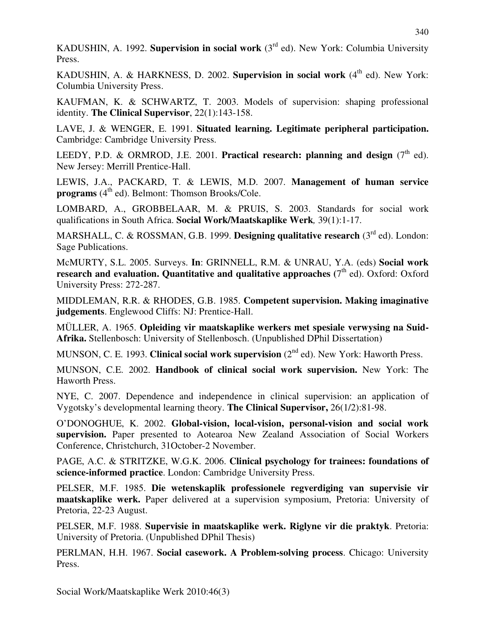KADUSHIN, A. 1992. **Supervision in social work** (3rd ed). New York: Columbia University Press.

KADUSHIN, A. & HARKNESS, D. 2002. **Supervision in social work**  $(4<sup>th</sup>$  ed). New York: Columbia University Press.

KAUFMAN, K. & SCHWARTZ, T. 2003. Models of supervision: shaping professional identity. **The Clinical Supervisor**, 22(1):143-158.

LAVE, J. & WENGER, E. 1991. **Situated learning. Legitimate peripheral participation.** Cambridge: Cambridge University Press.

LEEDY, P.D. & ORMROD, J.E. 2001. **Practical research: planning and design** (7<sup>th</sup> ed). New Jersey: Merrill Prentice-Hall.

LEWIS, J.A., PACKARD, T. & LEWIS, M.D. 2007. **Management of human service programs**  $(4^{th}$  ed). Belmont: Thomson Brooks/Cole.

LOMBARD, A., GROBBELAAR, M. & PRUIS, S. 2003. Standards for social work qualifications in South Africa. **Social Work/Maatskaplike Werk***,* 39(1):1-17.

MARSHALL, C. & ROSSMAN, G.B. 1999. **Designing qualitative research** (3rd ed). London: Sage Publications.

McMURTY, S.L. 2005. Surveys. **In**: GRINNELL, R.M. & UNRAU, Y.A. (eds) **Social work**  research and evaluation. Quantitative and qualitative approaches (7<sup>th</sup> ed). Oxford: Oxford University Press: 272-287.

MIDDLEMAN, R.R. & RHODES, G.B. 1985. **Competent supervision. Making imaginative judgements**. Englewood Cliffs: NJ: Prentice-Hall.

MÜLLER, A. 1965. **Opleiding vir maatskaplike werkers met spesiale verwysing na Suid-Afrika.** Stellenbosch: University of Stellenbosch. (Unpublished DPhil Dissertation)

MUNSON, C. E. 1993. **Clinical social work supervision** (2<sup>nd</sup> ed). New York: Haworth Press.

MUNSON, C.E. 2002. **Handbook of clinical social work supervision.** New York: The Haworth Press.

NYE, C. 2007. Dependence and independence in clinical supervision: an application of Vygotsky's developmental learning theory. **The Clinical Supervisor,** 26(1/2):81-98.

O'DONOGHUE, K. 2002. **Global-vision, local-vision, personal-vision and social work supervision.** Paper presented to Aotearoa New Zealand Association of Social Workers Conference, Christchurch, 31October-2 November.

PAGE, A.C. & STRITZKE, W.G.K. 2006. **Clinical psychology for trainees: foundations of science-informed practice**. London: Cambridge University Press.

PELSER, M.F. 1985. **Die wetenskaplik professionele regverdiging van supervisie vir maatskaplike werk.** Paper delivered at a supervision symposium, Pretoria: University of Pretoria, 22-23 August.

PELSER, M.F. 1988. **Supervisie in maatskaplike werk. Riglyne vir die praktyk**. Pretoria: University of Pretoria. (Unpublished DPhil Thesis)

PERLMAN, H.H. 1967. **Social casework. A Problem-solving process**. Chicago: University Press.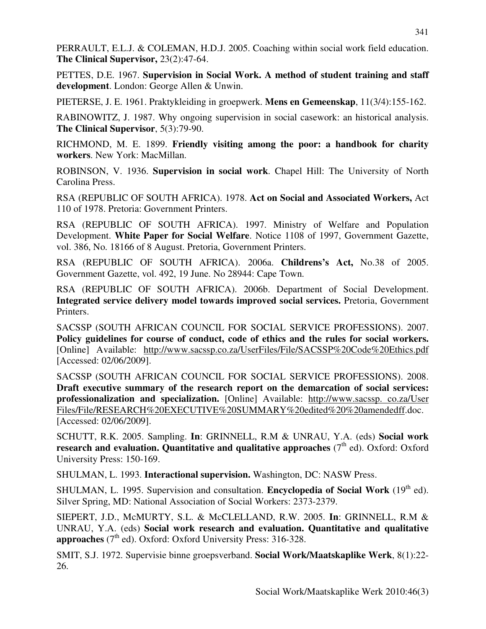PERRAULT, E.L.J. & COLEMAN, H.D.J. 2005. Coaching within social work field education. **The Clinical Supervisor,** 23(2):47-64.

PETTES, D.E. 1967. **Supervision in Social Work. A method of student training and staff development**. London: George Allen & Unwin.

PIETERSE, J. E. 1961. Praktykleiding in groepwerk. **Mens en Gemeenskap**, 11(3/4):155-162.

RABINOWITZ, J. 1987. Why ongoing supervision in social casework: an historical analysis. **The Clinical Supervisor**, 5(3):79-90.

RICHMOND, M. E. 1899. **Friendly visiting among the poor: a handbook for charity workers**. New York: MacMillan.

ROBINSON, V. 1936. **Supervision in social work**. Chapel Hill: The University of North Carolina Press.

RSA (REPUBLIC OF SOUTH AFRICA). 1978. **Act on Social and Associated Workers,** Act 110 of 1978. Pretoria: Government Printers.

RSA (REPUBLIC OF SOUTH AFRICA). 1997. Ministry of Welfare and Population Development. **White Paper for Social Welfare**. Notice 1108 of 1997, Government Gazette, vol. 386, No. 18166 of 8 August. Pretoria, Government Printers.

RSA (REPUBLIC OF SOUTH AFRICA). 2006a. **Childrens's Act,** No.38 of 2005. Government Gazette, vol. 492, 19 June. No 28944: Cape Town.

RSA (REPUBLIC OF SOUTH AFRICA). 2006b. Department of Social Development. **Integrated service delivery model towards improved social services.** Pretoria, Government Printers.

SACSSP (SOUTH AFRICAN COUNCIL FOR SOCIAL SERVICE PROFESSIONS). 2007. **Policy guidelines for course of conduct, code of ethics and the rules for social workers.** [Online] Available: http://www.sacssp.co.za/UserFiles/File/SACSSP%20Code%20Ethics.pdf [Accessed: 02/06/2009].

SACSSP (SOUTH AFRICAN COUNCIL FOR SOCIAL SERVICE PROFESSIONS). 2008. **Draft executive summary of the research report on the demarcation of social services: professionalization and specialization.** [Online] Available: http://www.sacssp. co.za/User Files/File/RESEARCH%20EXECUTIVE%20SUMMARY%20edited%20%20amendedff.doc. [Accessed: 02/06/2009].

SCHUTT, R.K. 2005. Sampling. **In**: GRINNELL, R.M & UNRAU, Y.A. (eds) **Social work research and evaluation. Quantitative and qualitative approaches**  $(7<sup>th</sup>$  ed). Oxford: Oxford University Press: 150-169.

SHULMAN, L. 1993. **Interactional supervision.** Washington, DC: NASW Press.

SHULMAN, L. 1995. Supervision and consultation. **Encyclopedia of Social Work** (19<sup>th</sup> ed). Silver Spring, MD: National Association of Social Workers: 2373-2379.

SIEPERT, J.D., McMURTY, S.L. & McCLELLAND, R.W. 2005. **In**: GRINNELL, R.M & UNRAU, Y.A. (eds) **Social work research and evaluation. Quantitative and qualitative approaches** (7<sup>th</sup> ed). Oxford: Oxford University Press: 316-328.

SMIT, S.J. 1972. Supervisie binne groepsverband. **Social Work/Maatskaplike Werk**, 8(1):22- 26.